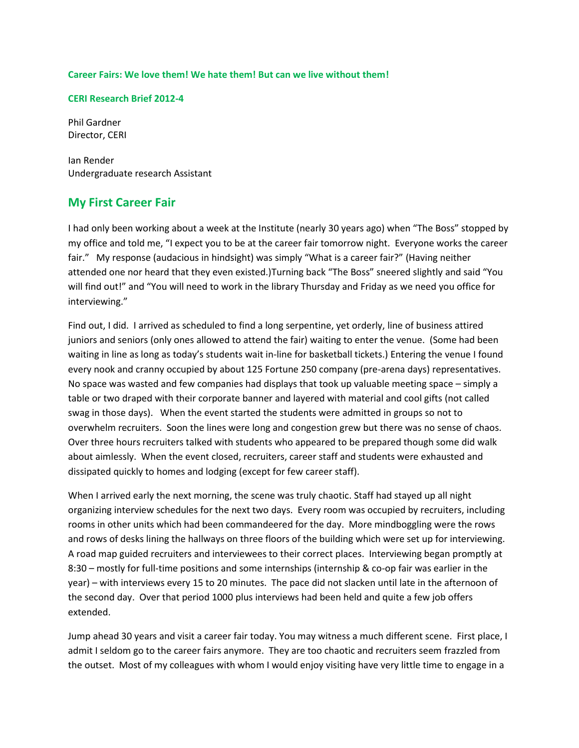#### **Career Fairs: We love them! We hate them! But can we live without them!**

#### **CERI Research Brief 2012-4**

Phil Gardner Director, CERI

Ian Render Undergraduate research Assistant

#### **My First Career Fair**

I had only been working about a week at the Institute (nearly 30 years ago) when "The Boss" stopped by my office and told me, "I expect you to be at the career fair tomorrow night. Everyone works the career fair." My response (audacious in hindsight) was simply "What is a career fair?" (Having neither attended one nor heard that they even existed.)Turning back "The Boss" sneered slightly and said "You will find out!" and "You will need to work in the library Thursday and Friday as we need you office for interviewing."

Find out, I did. I arrived as scheduled to find a long serpentine, yet orderly, line of business attired juniors and seniors (only ones allowed to attend the fair) waiting to enter the venue. (Some had been waiting in line as long as today's students wait in-line for basketball tickets.) Entering the venue I found every nook and cranny occupied by about 125 Fortune 250 company (pre-arena days) representatives. No space was wasted and few companies had displays that took up valuable meeting space – simply a table or two draped with their corporate banner and layered with material and cool gifts (not called swag in those days). When the event started the students were admitted in groups so not to overwhelm recruiters. Soon the lines were long and congestion grew but there was no sense of chaos. Over three hours recruiters talked with students who appeared to be prepared though some did walk about aimlessly. When the event closed, recruiters, career staff and students were exhausted and dissipated quickly to homes and lodging (except for few career staff).

When I arrived early the next morning, the scene was truly chaotic. Staff had stayed up all night organizing interview schedules for the next two days. Every room was occupied by recruiters, including rooms in other units which had been commandeered for the day. More mindboggling were the rows and rows of desks lining the hallways on three floors of the building which were set up for interviewing. A road map guided recruiters and interviewees to their correct places. Interviewing began promptly at 8:30 – mostly for full-time positions and some internships (internship & co-op fair was earlier in the year) – with interviews every 15 to 20 minutes. The pace did not slacken until late in the afternoon of the second day. Over that period 1000 plus interviews had been held and quite a few job offers extended.

Jump ahead 30 years and visit a career fair today. You may witness a much different scene. First place, I admit I seldom go to the career fairs anymore. They are too chaotic and recruiters seem frazzled from the outset. Most of my colleagues with whom I would enjoy visiting have very little time to engage in a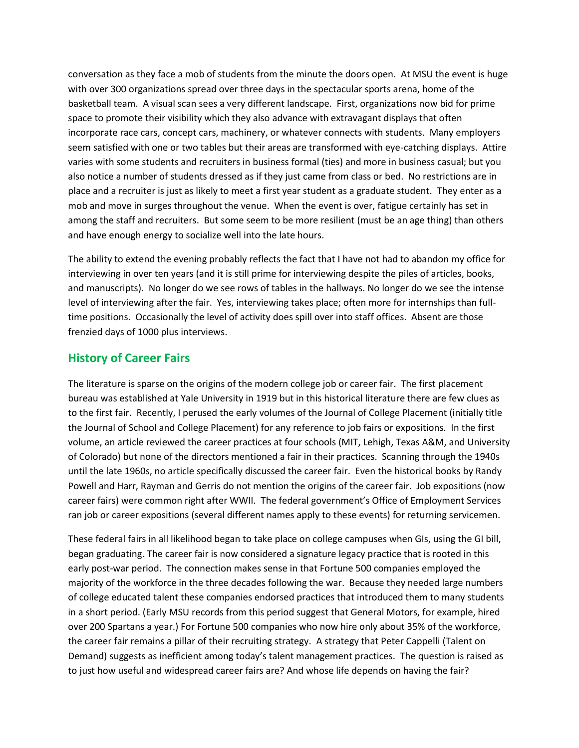conversation as they face a mob of students from the minute the doors open. At MSU the event is huge with over 300 organizations spread over three days in the spectacular sports arena, home of the basketball team. A visual scan sees a very different landscape. First, organizations now bid for prime space to promote their visibility which they also advance with extravagant displays that often incorporate race cars, concept cars, machinery, or whatever connects with students. Many employers seem satisfied with one or two tables but their areas are transformed with eye-catching displays. Attire varies with some students and recruiters in business formal (ties) and more in business casual; but you also notice a number of students dressed as if they just came from class or bed. No restrictions are in place and a recruiter is just as likely to meet a first year student as a graduate student. They enter as a mob and move in surges throughout the venue. When the event is over, fatigue certainly has set in among the staff and recruiters. But some seem to be more resilient (must be an age thing) than others and have enough energy to socialize well into the late hours.

The ability to extend the evening probably reflects the fact that I have not had to abandon my office for interviewing in over ten years (and it is still prime for interviewing despite the piles of articles, books, and manuscripts). No longer do we see rows of tables in the hallways. No longer do we see the intense level of interviewing after the fair. Yes, interviewing takes place; often more for internships than fulltime positions. Occasionally the level of activity does spill over into staff offices. Absent are those frenzied days of 1000 plus interviews.

#### **History of Career Fairs**

The literature is sparse on the origins of the modern college job or career fair. The first placement bureau was established at Yale University in 1919 but in this historical literature there are few clues as to the first fair. Recently, I perused the early volumes of the Journal of College Placement (initially title the Journal of School and College Placement) for any reference to job fairs or expositions. In the first volume, an article reviewed the career practices at four schools (MIT, Lehigh, Texas A&M, and University of Colorado) but none of the directors mentioned a fair in their practices. Scanning through the 1940s until the late 1960s, no article specifically discussed the career fair. Even the historical books by Randy Powell and Harr, Rayman and Gerris do not mention the origins of the career fair. Job expositions (now career fairs) were common right after WWII. The federal government's Office of Employment Services ran job or career expositions (several different names apply to these events) for returning servicemen.

These federal fairs in all likelihood began to take place on college campuses when GIs, using the GI bill, began graduating. The career fair is now considered a signature legacy practice that is rooted in this early post-war period. The connection makes sense in that Fortune 500 companies employed the majority of the workforce in the three decades following the war. Because they needed large numbers of college educated talent these companies endorsed practices that introduced them to many students in a short period. (Early MSU records from this period suggest that General Motors, for example, hired over 200 Spartans a year.) For Fortune 500 companies who now hire only about 35% of the workforce, the career fair remains a pillar of their recruiting strategy. A strategy that Peter Cappelli (Talent on Demand) suggests as inefficient among today's talent management practices. The question is raised as to just how useful and widespread career fairs are? And whose life depends on having the fair?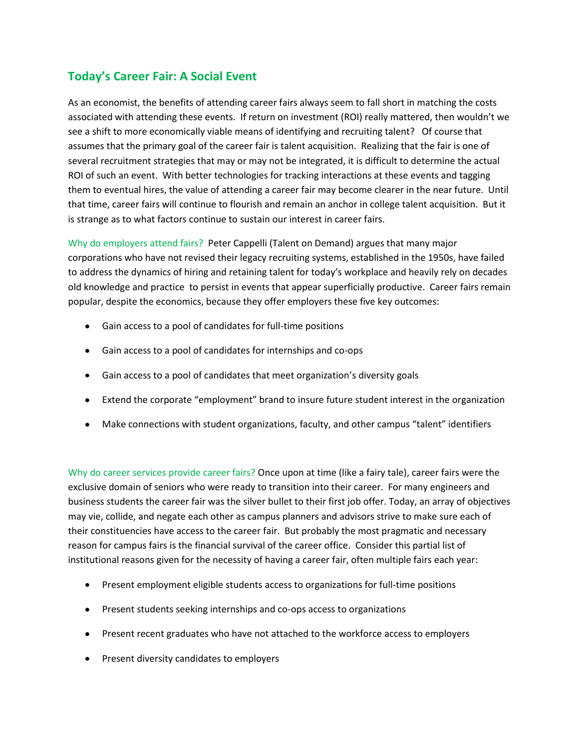# **Today's Career Fair: A Social Event**

As an economist, the benefits of attending career fairs always seem to fall short in matching the costs associated with attending these events. If return on investment (ROI) really mattered, then wouldn't we see a shift to more economically viable means of identifying and recruiting talent? Of course that assumes that the primary goal of the career fair is talent acquisition. Realizing that the fair is one of several recruitment strategies that may or may not be integrated, it is difficult to determine the actual ROI of such an event. With better technologies for tracking interactions at these events and tagging them to eventual hires, the value of attending a career fair may become clearer in the near future. Until that time, career fairs will continue to flourish and remain an anchor in college talent acquisition. But it is strange as to what factors continue to sustain our interest in career fairs.

Why do employers attend fairs? Peter Cappelli (Talent on Demand) argues that many major corporations who have not revised their legacy recruiting systems, established in the 1950s, have failed to address the dynamics of hiring and retaining talent for today's workplace and heavily rely on decades old knowledge and practice to persist in events that appear superficially productive. Career fairs remain popular, despite the economics, because they offer employers these five key outcomes:

- Gain access to a pool of candidates for full-time positions
- Gain access to a pool of candidates for internships and co-ops
- Gain access to a pool of candidates that meet organization's diversity goals
- Extend the corporate "employment" brand to insure future student interest in the organization
- Make connections with student organizations, faculty, and other campus "talent" identifiers

Why do career services provide career fairs? Once upon at time (like a fairy tale), career fairs were the exclusive domain of seniors who were ready to transition into their career. For many engineers and business students the career fair was the silver bullet to their first job offer. Today, an array of objectives may vie, collide, and negate each other as campus planners and advisors strive to make sure each of their constituencies have access to the career fair. But probably the most pragmatic and necessary reason for campus fairs is the financial survival of the career office. Consider this partial list of institutional reasons given for the necessity of having a career fair, often multiple fairs each year:

- Present employment eligible students access to organizations for full-time positions
- Present students seeking internships and co-ops access to organizations
- Present recent graduates who have not attached to the workforce access to employers
- Present diversity candidates to employers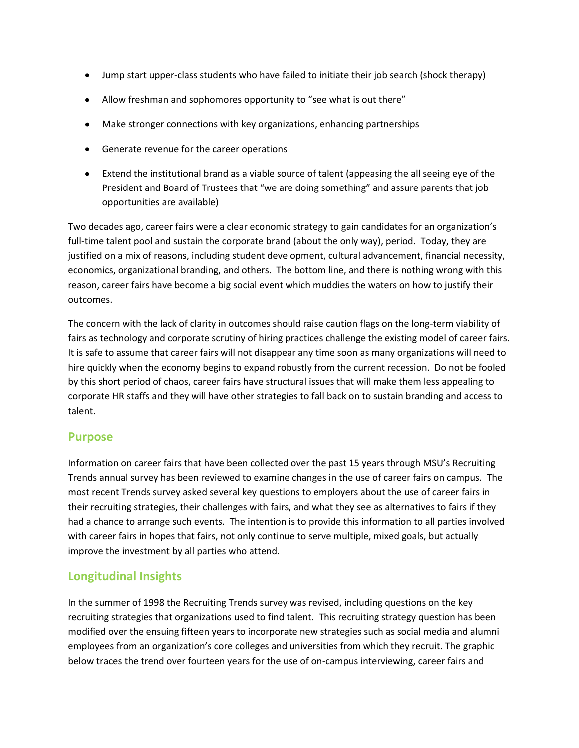- Jump start upper-class students who have failed to initiate their job search (shock therapy)
- Allow freshman and sophomores opportunity to "see what is out there"
- Make stronger connections with key organizations, enhancing partnerships
- Generate revenue for the career operations
- Extend the institutional brand as a viable source of talent (appeasing the all seeing eye of the President and Board of Trustees that "we are doing something" and assure parents that job opportunities are available)

Two decades ago, career fairs were a clear economic strategy to gain candidates for an organization's full-time talent pool and sustain the corporate brand (about the only way), period. Today, they are justified on a mix of reasons, including student development, cultural advancement, financial necessity, economics, organizational branding, and others. The bottom line, and there is nothing wrong with this reason, career fairs have become a big social event which muddies the waters on how to justify their outcomes.

The concern with the lack of clarity in outcomes should raise caution flags on the long-term viability of fairs as technology and corporate scrutiny of hiring practices challenge the existing model of career fairs. It is safe to assume that career fairs will not disappear any time soon as many organizations will need to hire quickly when the economy begins to expand robustly from the current recession. Do not be fooled by this short period of chaos, career fairs have structural issues that will make them less appealing to corporate HR staffs and they will have other strategies to fall back on to sustain branding and access to talent.

#### **Purpose**

Information on career fairs that have been collected over the past 15 years through MSU's Recruiting Trends annual survey has been reviewed to examine changes in the use of career fairs on campus. The most recent Trends survey asked several key questions to employers about the use of career fairs in their recruiting strategies, their challenges with fairs, and what they see as alternatives to fairs if they had a chance to arrange such events. The intention is to provide this information to all parties involved with career fairs in hopes that fairs, not only continue to serve multiple, mixed goals, but actually improve the investment by all parties who attend.

## **Longitudinal Insights**

In the summer of 1998 the Recruiting Trends survey was revised, including questions on the key recruiting strategies that organizations used to find talent. This recruiting strategy question has been modified over the ensuing fifteen years to incorporate new strategies such as social media and alumni employees from an organization's core colleges and universities from which they recruit. The graphic below traces the trend over fourteen years for the use of on-campus interviewing, career fairs and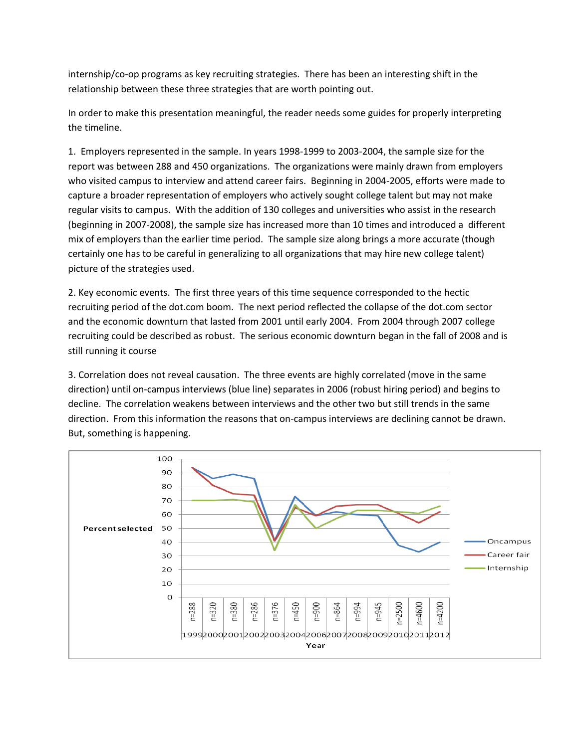internship/co-op programs as key recruiting strategies. There has been an interesting shift in the relationship between these three strategies that are worth pointing out.

In order to make this presentation meaningful, the reader needs some guides for properly interpreting the timeline.

1. Employers represented in the sample. In years 1998-1999 to 2003-2004, the sample size for the report was between 288 and 450 organizations. The organizations were mainly drawn from employers who visited campus to interview and attend career fairs. Beginning in 2004-2005, efforts were made to capture a broader representation of employers who actively sought college talent but may not make regular visits to campus. With the addition of 130 colleges and universities who assist in the research (beginning in 2007-2008), the sample size has increased more than 10 times and introduced a different mix of employers than the earlier time period. The sample size along brings a more accurate (though certainly one has to be careful in generalizing to all organizations that may hire new college talent) picture of the strategies used.

2. Key economic events. The first three years of this time sequence corresponded to the hectic recruiting period of the dot.com boom. The next period reflected the collapse of the dot.com sector and the economic downturn that lasted from 2001 until early 2004. From 2004 through 2007 college recruiting could be described as robust. The serious economic downturn began in the fall of 2008 and is still running it course

3. Correlation does not reveal causation. The three events are highly correlated (move in the same direction) until on-campus interviews (blue line) separates in 2006 (robust hiring period) and begins to decline. The correlation weakens between interviews and the other two but still trends in the same direction. From this information the reasons that on-campus interviews are declining cannot be drawn. But, something is happening.

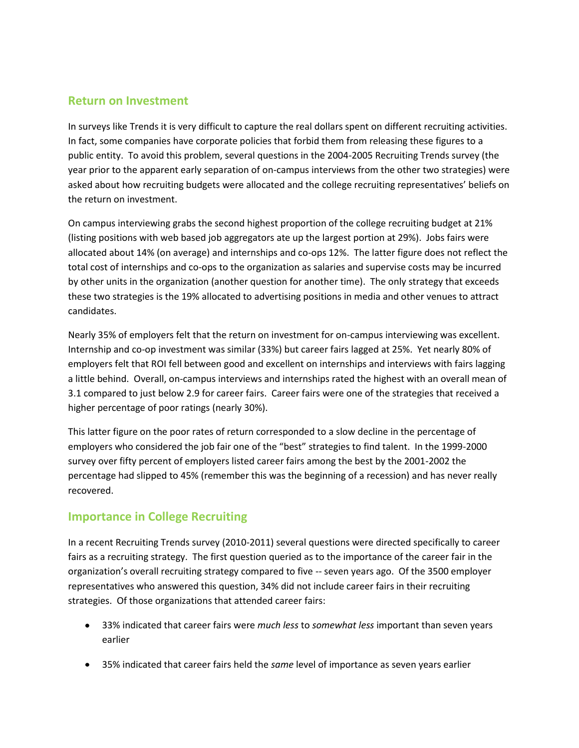#### **Return on Investment**

In surveys like Trends it is very difficult to capture the real dollars spent on different recruiting activities. In fact, some companies have corporate policies that forbid them from releasing these figures to a public entity. To avoid this problem, several questions in the 2004-2005 Recruiting Trends survey (the year prior to the apparent early separation of on-campus interviews from the other two strategies) were asked about how recruiting budgets were allocated and the college recruiting representatives' beliefs on the return on investment.

On campus interviewing grabs the second highest proportion of the college recruiting budget at 21% (listing positions with web based job aggregators ate up the largest portion at 29%). Jobs fairs were allocated about 14% (on average) and internships and co-ops 12%. The latter figure does not reflect the total cost of internships and co-ops to the organization as salaries and supervise costs may be incurred by other units in the organization (another question for another time). The only strategy that exceeds these two strategies is the 19% allocated to advertising positions in media and other venues to attract candidates.

Nearly 35% of employers felt that the return on investment for on-campus interviewing was excellent. Internship and co-op investment was similar (33%) but career fairs lagged at 25%. Yet nearly 80% of employers felt that ROI fell between good and excellent on internships and interviews with fairs lagging a little behind. Overall, on-campus interviews and internships rated the highest with an overall mean of 3.1 compared to just below 2.9 for career fairs. Career fairs were one of the strategies that received a higher percentage of poor ratings (nearly 30%).

This latter figure on the poor rates of return corresponded to a slow decline in the percentage of employers who considered the job fair one of the "best" strategies to find talent. In the 1999-2000 survey over fifty percent of employers listed career fairs among the best by the 2001-2002 the percentage had slipped to 45% (remember this was the beginning of a recession) and has never really recovered.

## **Importance in College Recruiting**

In a recent Recruiting Trends survey (2010-2011) several questions were directed specifically to career fairs as a recruiting strategy. The first question queried as to the importance of the career fair in the organization's overall recruiting strategy compared to five -- seven years ago. Of the 3500 employer representatives who answered this question, 34% did not include career fairs in their recruiting strategies. Of those organizations that attended career fairs:

- 33% indicated that career fairs were *much less* to *somewhat less* important than seven years earlier
- 35% indicated that career fairs held the *same* level of importance as seven years earlier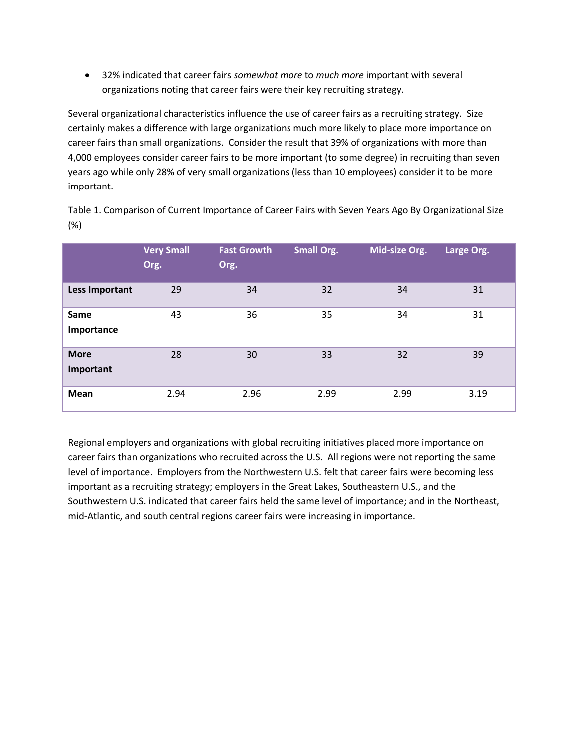32% indicated that career fairs *somewhat more* to *much more* important with several organizations noting that career fairs were their key recruiting strategy.

Several organizational characteristics influence the use of career fairs as a recruiting strategy. Size certainly makes a difference with large organizations much more likely to place more importance on career fairs than small organizations. Consider the result that 39% of organizations with more than 4,000 employees consider career fairs to be more important (to some degree) in recruiting than seven years ago while only 28% of very small organizations (less than 10 employees) consider it to be more important.

Table 1. Comparison of Current Importance of Career Fairs with Seven Years Ago By Organizational Size (%)

|                          | <b>Very Small</b><br>Org. | <b>Fast Growth</b><br>Org. | <b>Small Org.</b> | Mid-size Org. | Large Org. |
|--------------------------|---------------------------|----------------------------|-------------------|---------------|------------|
| Less Important           | 29                        | 34                         | 32                | 34            | 31         |
| Same<br>Importance       | 43                        | 36                         | 35                | 34            | 31         |
| <b>More</b><br>Important | 28                        | 30                         | 33                | 32            | 39         |
| <b>Mean</b>              | 2.94                      | 2.96                       | 2.99              | 2.99          | 3.19       |

Regional employers and organizations with global recruiting initiatives placed more importance on career fairs than organizations who recruited across the U.S. All regions were not reporting the same level of importance. Employers from the Northwestern U.S. felt that career fairs were becoming less important as a recruiting strategy; employers in the Great Lakes, Southeastern U.S., and the Southwestern U.S. indicated that career fairs held the same level of importance; and in the Northeast, mid-Atlantic, and south central regions career fairs were increasing in importance.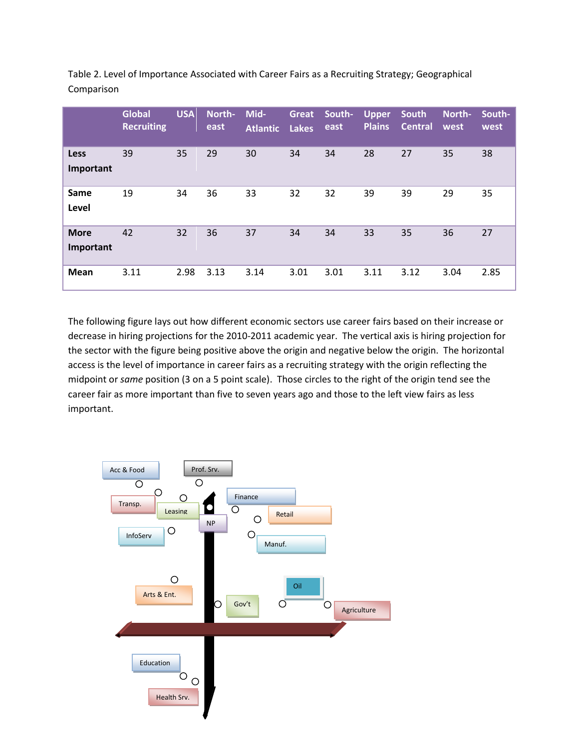|                          | <b>Global</b><br><b>Recruiting</b> | <b>USA</b> | North-<br>east | Mid-<br><b>Atlantic</b> | Great<br><b>Lakes</b> | South-<br>east | <b>Upper</b><br><b>Plains</b> | <b>South</b><br><b>Central</b> | North-<br>west | South-<br>west |
|--------------------------|------------------------------------|------------|----------------|-------------------------|-----------------------|----------------|-------------------------------|--------------------------------|----------------|----------------|
| Less<br>Important        | 39                                 | 35         | 29             | 30                      | 34                    | 34             | 28                            | 27                             | 35             | 38             |
| Same<br>Level            | 19                                 | 34         | 36             | 33                      | 32                    | 32             | 39                            | 39                             | 29             | 35             |
| <b>More</b><br>Important | 42                                 | 32         | 36             | 37                      | 34                    | 34             | 33                            | 35                             | 36             | 27             |
| <b>Mean</b>              | 3.11                               | 2.98       | 3.13           | 3.14                    | 3.01                  | 3.01           | 3.11                          | 3.12                           | 3.04           | 2.85           |

Table 2. Level of Importance Associated with Career Fairs as a Recruiting Strategy; Geographical Comparison

The following figure lays out how different economic sectors use career fairs based on their increase or decrease in hiring projections for the 2010-2011 academic year. The vertical axis is hiring projection for the sector with the figure being positive above the origin and negative below the origin. The horizontal access is the level of importance in career fairs as a recruiting strategy with the origin reflecting the midpoint or *same* position (3 on a 5 point scale). Those circles to the right of the origin tend see the career fair as more important than five to seven years ago and those to the left view fairs as less important.

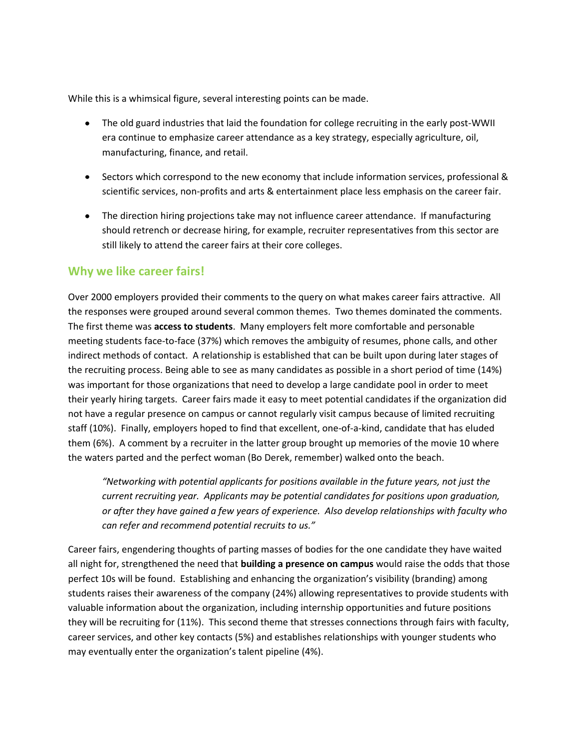While this is a whimsical figure, several interesting points can be made.

- The old guard industries that laid the foundation for college recruiting in the early post-WWII era continue to emphasize career attendance as a key strategy, especially agriculture, oil, manufacturing, finance, and retail.
- Sectors which correspond to the new economy that include information services, professional & scientific services, non-profits and arts & entertainment place less emphasis on the career fair.
- The direction hiring projections take may not influence career attendance. If manufacturing should retrench or decrease hiring, for example, recruiter representatives from this sector are still likely to attend the career fairs at their core colleges.

## **Why we like career fairs!**

Over 2000 employers provided their comments to the query on what makes career fairs attractive. All the responses were grouped around several common themes. Two themes dominated the comments. The first theme was **access to students**. Many employers felt more comfortable and personable meeting students face-to-face (37%) which removes the ambiguity of resumes, phone calls, and other indirect methods of contact. A relationship is established that can be built upon during later stages of the recruiting process. Being able to see as many candidates as possible in a short period of time (14%) was important for those organizations that need to develop a large candidate pool in order to meet their yearly hiring targets. Career fairs made it easy to meet potential candidates if the organization did not have a regular presence on campus or cannot regularly visit campus because of limited recruiting staff (10%). Finally, employers hoped to find that excellent, one-of-a-kind, candidate that has eluded them (6%). A comment by a recruiter in the latter group brought up memories of the movie 10 where the waters parted and the perfect woman (Bo Derek, remember) walked onto the beach.

*"Networking with potential applicants for positions available in the future years, not just the current recruiting year. Applicants may be potential candidates for positions upon graduation, or after they have gained a few years of experience. Also develop relationships with faculty who can refer and recommend potential recruits to us."*

Career fairs, engendering thoughts of parting masses of bodies for the one candidate they have waited all night for, strengthened the need that **building a presence on campus** would raise the odds that those perfect 10s will be found. Establishing and enhancing the organization's visibility (branding) among students raises their awareness of the company (24%) allowing representatives to provide students with valuable information about the organization, including internship opportunities and future positions they will be recruiting for (11%). This second theme that stresses connections through fairs with faculty, career services, and other key contacts (5%) and establishes relationships with younger students who may eventually enter the organization's talent pipeline (4%).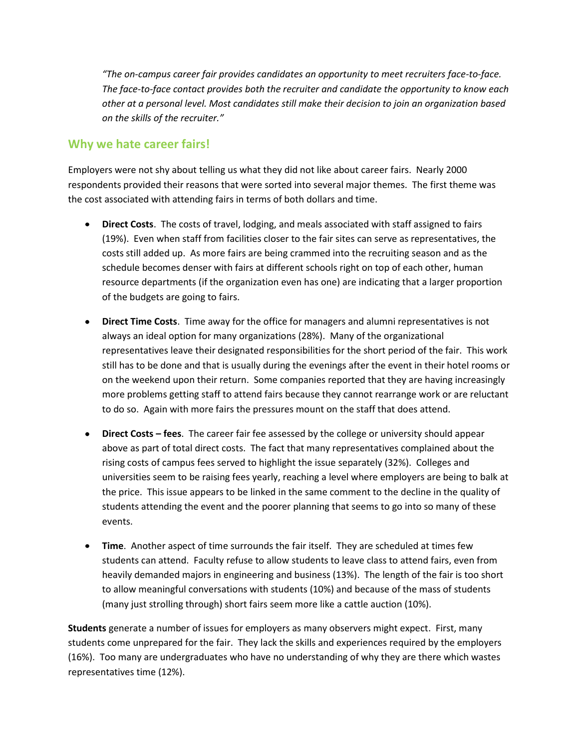*"The on-campus career fair provides candidates an opportunity to meet recruiters face-to-face. The face-to-face contact provides both the recruiter and candidate the opportunity to know each other at a personal level. Most candidates still make their decision to join an organization based on the skills of the recruiter."*

# **Why we hate career fairs!**

Employers were not shy about telling us what they did not like about career fairs. Nearly 2000 respondents provided their reasons that were sorted into several major themes. The first theme was the cost associated with attending fairs in terms of both dollars and time.

- **Direct Costs**. The costs of travel, lodging, and meals associated with staff assigned to fairs (19%). Even when staff from facilities closer to the fair sites can serve as representatives, the costs still added up. As more fairs are being crammed into the recruiting season and as the schedule becomes denser with fairs at different schools right on top of each other, human resource departments (if the organization even has one) are indicating that a larger proportion of the budgets are going to fairs.
- **Direct Time Costs**. Time away for the office for managers and alumni representatives is not always an ideal option for many organizations (28%). Many of the organizational representatives leave their designated responsibilities for the short period of the fair. This work still has to be done and that is usually during the evenings after the event in their hotel rooms or on the weekend upon their return. Some companies reported that they are having increasingly more problems getting staff to attend fairs because they cannot rearrange work or are reluctant to do so. Again with more fairs the pressures mount on the staff that does attend.
- **Direct Costs – fees**. The career fair fee assessed by the college or university should appear above as part of total direct costs. The fact that many representatives complained about the rising costs of campus fees served to highlight the issue separately (32%). Colleges and universities seem to be raising fees yearly, reaching a level where employers are being to balk at the price. This issue appears to be linked in the same comment to the decline in the quality of students attending the event and the poorer planning that seems to go into so many of these events.
- **Time**. Another aspect of time surrounds the fair itself. They are scheduled at times few students can attend. Faculty refuse to allow students to leave class to attend fairs, even from heavily demanded majors in engineering and business (13%). The length of the fair is too short to allow meaningful conversations with students (10%) and because of the mass of students (many just strolling through) short fairs seem more like a cattle auction (10%).

**Students** generate a number of issues for employers as many observers might expect. First, many students come unprepared for the fair. They lack the skills and experiences required by the employers (16%). Too many are undergraduates who have no understanding of why they are there which wastes representatives time (12%).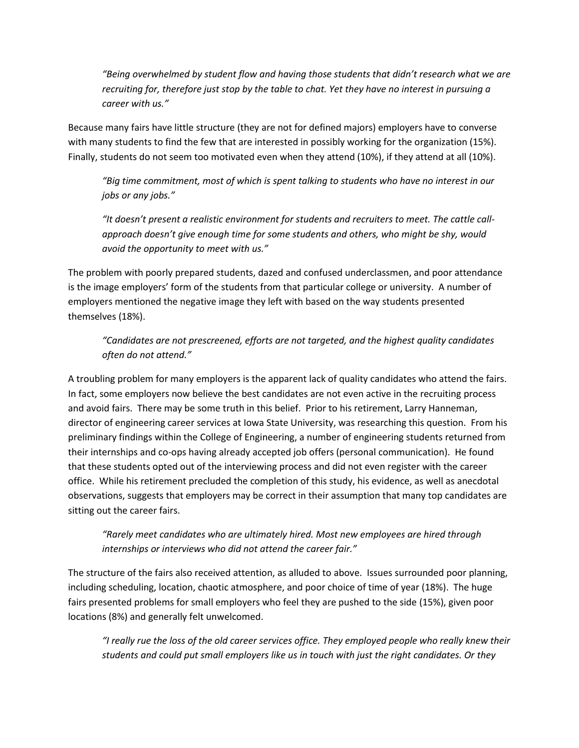*"Being overwhelmed by student flow and having those students that didn't research what we are recruiting for, therefore just stop by the table to chat. Yet they have no interest in pursuing a career with us."*

Because many fairs have little structure (they are not for defined majors) employers have to converse with many students to find the few that are interested in possibly working for the organization (15%). Finally, students do not seem too motivated even when they attend (10%), if they attend at all (10%).

*"Big time commitment, most of which is spent talking to students who have no interest in our jobs or any jobs."*

*"It doesn't present a realistic environment for students and recruiters to meet. The cattle callapproach doesn't give enough time for some students and others, who might be shy, would avoid the opportunity to meet with us."*

The problem with poorly prepared students, dazed and confused underclassmen, and poor attendance is the image employers' form of the students from that particular college or university. A number of employers mentioned the negative image they left with based on the way students presented themselves (18%).

*"Candidates are not prescreened, efforts are not targeted, and the highest quality candidates often do not attend."*

A troubling problem for many employers is the apparent lack of quality candidates who attend the fairs. In fact, some employers now believe the best candidates are not even active in the recruiting process and avoid fairs. There may be some truth in this belief. Prior to his retirement, Larry Hanneman, director of engineering career services at Iowa State University, was researching this question. From his preliminary findings within the College of Engineering, a number of engineering students returned from their internships and co-ops having already accepted job offers (personal communication). He found that these students opted out of the interviewing process and did not even register with the career office. While his retirement precluded the completion of this study, his evidence, as well as anecdotal observations, suggests that employers may be correct in their assumption that many top candidates are sitting out the career fairs.

*"Rarely meet candidates who are ultimately hired. Most new employees are hired through internships or interviews who did not attend the career fair."*

The structure of the fairs also received attention, as alluded to above. Issues surrounded poor planning, including scheduling, location, chaotic atmosphere, and poor choice of time of year (18%). The huge fairs presented problems for small employers who feel they are pushed to the side (15%), given poor locations (8%) and generally felt unwelcomed.

*"I really rue the loss of the old career services office. They employed people who really knew their students and could put small employers like us in touch with just the right candidates. Or they*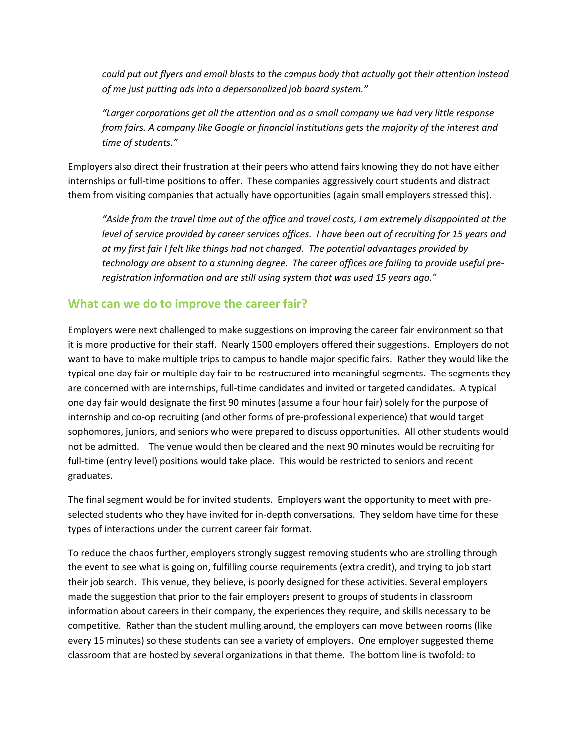*could put out flyers and email blasts to the campus body that actually got their attention instead of me just putting ads into a depersonalized job board system."*

*"Larger corporations get all the attention and as a small company we had very little response from fairs. A company like Google or financial institutions gets the majority of the interest and time of students."*

Employers also direct their frustration at their peers who attend fairs knowing they do not have either internships or full-time positions to offer. These companies aggressively court students and distract them from visiting companies that actually have opportunities (again small employers stressed this).

*"Aside from the travel time out of the office and travel costs, I am extremely disappointed at the level of service provided by career services offices. I have been out of recruiting for 15 years and at my first fair I felt like things had not changed. The potential advantages provided by technology are absent to a stunning degree. The career offices are failing to provide useful preregistration information and are still using system that was used 15 years ago."*

# **What can we do to improve the career fair?**

Employers were next challenged to make suggestions on improving the career fair environment so that it is more productive for their staff. Nearly 1500 employers offered their suggestions. Employers do not want to have to make multiple trips to campus to handle major specific fairs. Rather they would like the typical one day fair or multiple day fair to be restructured into meaningful segments. The segments they are concerned with are internships, full-time candidates and invited or targeted candidates. A typical one day fair would designate the first 90 minutes (assume a four hour fair) solely for the purpose of internship and co-op recruiting (and other forms of pre-professional experience) that would target sophomores, juniors, and seniors who were prepared to discuss opportunities. All other students would not be admitted. The venue would then be cleared and the next 90 minutes would be recruiting for full-time (entry level) positions would take place. This would be restricted to seniors and recent graduates.

The final segment would be for invited students. Employers want the opportunity to meet with preselected students who they have invited for in-depth conversations. They seldom have time for these types of interactions under the current career fair format.

To reduce the chaos further, employers strongly suggest removing students who are strolling through the event to see what is going on, fulfilling course requirements (extra credit), and trying to job start their job search. This venue, they believe, is poorly designed for these activities. Several employers made the suggestion that prior to the fair employers present to groups of students in classroom information about careers in their company, the experiences they require, and skills necessary to be competitive. Rather than the student mulling around, the employers can move between rooms (like every 15 minutes) so these students can see a variety of employers. One employer suggested theme classroom that are hosted by several organizations in that theme. The bottom line is twofold: to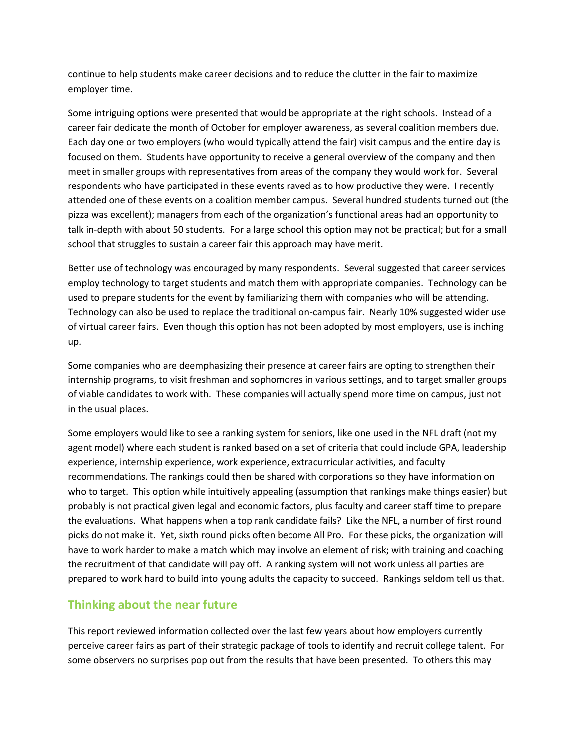continue to help students make career decisions and to reduce the clutter in the fair to maximize employer time.

Some intriguing options were presented that would be appropriate at the right schools. Instead of a career fair dedicate the month of October for employer awareness, as several coalition members due. Each day one or two employers (who would typically attend the fair) visit campus and the entire day is focused on them. Students have opportunity to receive a general overview of the company and then meet in smaller groups with representatives from areas of the company they would work for. Several respondents who have participated in these events raved as to how productive they were. I recently attended one of these events on a coalition member campus. Several hundred students turned out (the pizza was excellent); managers from each of the organization's functional areas had an opportunity to talk in-depth with about 50 students. For a large school this option may not be practical; but for a small school that struggles to sustain a career fair this approach may have merit.

Better use of technology was encouraged by many respondents. Several suggested that career services employ technology to target students and match them with appropriate companies. Technology can be used to prepare students for the event by familiarizing them with companies who will be attending. Technology can also be used to replace the traditional on-campus fair. Nearly 10% suggested wider use of virtual career fairs. Even though this option has not been adopted by most employers, use is inching up.

Some companies who are deemphasizing their presence at career fairs are opting to strengthen their internship programs, to visit freshman and sophomores in various settings, and to target smaller groups of viable candidates to work with. These companies will actually spend more time on campus, just not in the usual places.

Some employers would like to see a ranking system for seniors, like one used in the NFL draft (not my agent model) where each student is ranked based on a set of criteria that could include GPA, leadership experience, internship experience, work experience, extracurricular activities, and faculty recommendations. The rankings could then be shared with corporations so they have information on who to target. This option while intuitively appealing (assumption that rankings make things easier) but probably is not practical given legal and economic factors, plus faculty and career staff time to prepare the evaluations. What happens when a top rank candidate fails? Like the NFL, a number of first round picks do not make it. Yet, sixth round picks often become All Pro. For these picks, the organization will have to work harder to make a match which may involve an element of risk; with training and coaching the recruitment of that candidate will pay off. A ranking system will not work unless all parties are prepared to work hard to build into young adults the capacity to succeed. Rankings seldom tell us that.

#### **Thinking about the near future**

This report reviewed information collected over the last few years about how employers currently perceive career fairs as part of their strategic package of tools to identify and recruit college talent. For some observers no surprises pop out from the results that have been presented. To others this may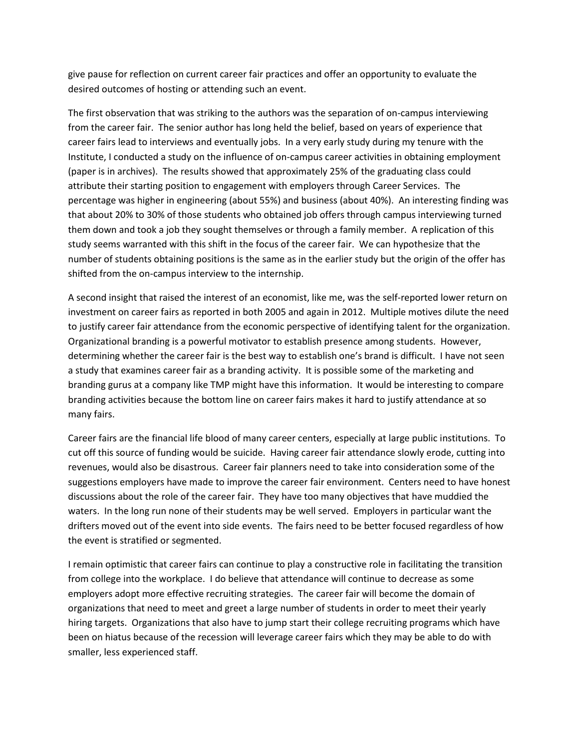give pause for reflection on current career fair practices and offer an opportunity to evaluate the desired outcomes of hosting or attending such an event.

The first observation that was striking to the authors was the separation of on-campus interviewing from the career fair. The senior author has long held the belief, based on years of experience that career fairs lead to interviews and eventually jobs. In a very early study during my tenure with the Institute, I conducted a study on the influence of on-campus career activities in obtaining employment (paper is in archives). The results showed that approximately 25% of the graduating class could attribute their starting position to engagement with employers through Career Services. The percentage was higher in engineering (about 55%) and business (about 40%). An interesting finding was that about 20% to 30% of those students who obtained job offers through campus interviewing turned them down and took a job they sought themselves or through a family member. A replication of this study seems warranted with this shift in the focus of the career fair. We can hypothesize that the number of students obtaining positions is the same as in the earlier study but the origin of the offer has shifted from the on-campus interview to the internship.

A second insight that raised the interest of an economist, like me, was the self-reported lower return on investment on career fairs as reported in both 2005 and again in 2012. Multiple motives dilute the need to justify career fair attendance from the economic perspective of identifying talent for the organization. Organizational branding is a powerful motivator to establish presence among students. However, determining whether the career fair is the best way to establish one's brand is difficult. I have not seen a study that examines career fair as a branding activity. It is possible some of the marketing and branding gurus at a company like TMP might have this information. It would be interesting to compare branding activities because the bottom line on career fairs makes it hard to justify attendance at so many fairs.

Career fairs are the financial life blood of many career centers, especially at large public institutions. To cut off this source of funding would be suicide. Having career fair attendance slowly erode, cutting into revenues, would also be disastrous. Career fair planners need to take into consideration some of the suggestions employers have made to improve the career fair environment. Centers need to have honest discussions about the role of the career fair. They have too many objectives that have muddied the waters. In the long run none of their students may be well served. Employers in particular want the drifters moved out of the event into side events. The fairs need to be better focused regardless of how the event is stratified or segmented.

I remain optimistic that career fairs can continue to play a constructive role in facilitating the transition from college into the workplace. I do believe that attendance will continue to decrease as some employers adopt more effective recruiting strategies. The career fair will become the domain of organizations that need to meet and greet a large number of students in order to meet their yearly hiring targets. Organizations that also have to jump start their college recruiting programs which have been on hiatus because of the recession will leverage career fairs which they may be able to do with smaller, less experienced staff.